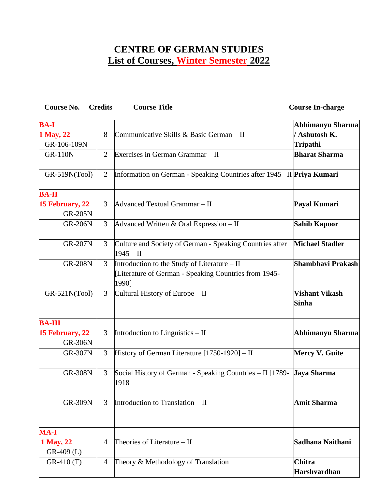## **CENTRE OF GERMAN STUDIES List of Courses, Winter Semester 2022**

| Course No.                        | <b>Credits</b> | <b>Course Title</b>                                                                                            | <b>Course In-charge</b>               |
|-----------------------------------|----------------|----------------------------------------------------------------------------------------------------------------|---------------------------------------|
| <b>BA-I</b>                       |                |                                                                                                                | Abhimanyu Sharma                      |
| 1 May, 22                         | 8              | Communicative Skills & Basic German - II                                                                       | / Ashutosh K.                         |
| GR-106-109N                       |                |                                                                                                                | Tripathi                              |
| <b>GR-110N</b>                    | $\overline{2}$ | Exercises in German Grammar - II                                                                               | <b>Bharat Sharma</b>                  |
| GR-519N(Tool)                     | $\overline{2}$ | Information on German - Speaking Countries after 1945-II Priya Kumari                                          |                                       |
| <b>BA-II</b>                      |                |                                                                                                                |                                       |
| 15 February, 22<br><b>GR-205N</b> | 3              | Advanced Textual Grammar - II                                                                                  | Payal Kumari                          |
| <b>GR-206N</b>                    | 3              | Advanced Written & Oral Expression - II                                                                        | <b>Sahib Kapoor</b>                   |
| <b>GR-207N</b>                    | $\mathfrak{Z}$ | Culture and Society of German - Speaking Countries after<br>$1945 - H$                                         | <b>Michael Stadler</b>                |
| <b>GR-208N</b>                    | 3              | Introduction to the Study of Literature – II<br>[Literature of German - Speaking Countries from 1945-<br>1990] | Shambhavi Prakash                     |
| GR-521N(Tool)                     | 3              | Cultural History of Europe – II                                                                                | <b>Vishant Vikash</b><br><b>Sinha</b> |
| <b>BA-III</b>                     |                |                                                                                                                |                                       |
| 15 February, 22<br><b>GR-306N</b> | 3              | Introduction to Linguistics $-$ II                                                                             | Abhimanyu Sharma                      |
| <b>GR-307N</b>                    | 3              | History of German Literature [1750-1920] - II                                                                  | <b>Mercy V. Guite</b>                 |
| <b>GR-308N</b>                    | 3              | Social History of German - Speaking Countries – II [1789- <b>Jaya Sharma</b><br>1918]                          |                                       |
| <b>GR-309N</b>                    | 3              | Introduction to Translation $-$ II                                                                             | <b>Amit Sharma</b>                    |
| <b>MA-I</b>                       |                |                                                                                                                |                                       |
| 1 May, 22<br>$GR-409$ (L)         | $\overline{4}$ | Theories of Literature – II                                                                                    | Sadhana Naithani                      |
| $GR-410(T)$                       | 4              | Theory & Methodology of Translation                                                                            | Chitra<br><b>Harshvardhan</b>         |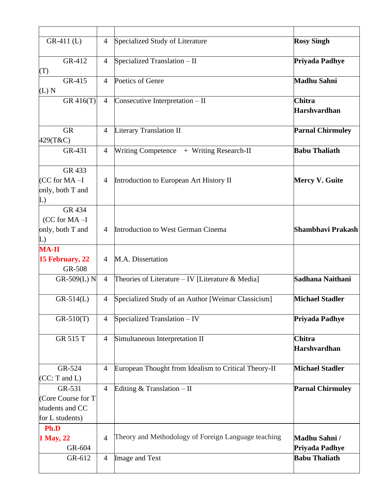| $GR-411$ (L)                                                        | $\overline{4}$ | Specialized Study of Literature                      | <b>Rosy Singh</b>                    |
|---------------------------------------------------------------------|----------------|------------------------------------------------------|--------------------------------------|
| GR-412<br>(T)                                                       | $\overline{4}$ | Specialized Translation - II                         | Priyada Padhye                       |
| GR-415<br>(L) N                                                     | $\overline{4}$ | Poetics of Genre                                     | <b>Madhu Sahni</b>                   |
| GR 416(T)                                                           | $\overline{4}$ | Consecutive Interpretation - II                      | <b>Chitra</b><br><b>Harshvardhan</b> |
| <b>GR</b><br>429(T&C)                                               | $\overline{4}$ | <b>Literary Translation II</b>                       | <b>Parnal Chirmuley</b>              |
| GR-431                                                              | $\overline{4}$ | Writing Competence + Writing Research-II             | <b>Babu Thaliath</b>                 |
| GR 433<br>$CC for MA-I$<br>only, both T and<br>L)                   | 4              | Introduction to European Art History II              | <b>Mercy V. Guite</b>                |
| GR 434<br>$(CC for MA-I)$<br>only, both T and<br>L)                 | 4              | Introduction to West German Cinema                   | Shambhavi Prakash                    |
| <b>MA-II</b><br>15 February, 22<br>GR-508                           | 4              | M.A. Dissertation                                    |                                      |
| GR-509(L) N                                                         | $\overline{4}$ | Theories of Literature $-$ IV [Literature & Media]   | Sadhana Naithani                     |
| $GR-514(L)$                                                         | $\overline{4}$ | Specialized Study of an Author [Weimar Classicism]   | <b>Michael Stadler</b>               |
| $GR-510(T)$                                                         | $\overline{4}$ | Specialized Translation - IV                         | Priyada Padhye                       |
| <b>GR 515 T</b>                                                     | 4              | Simultaneous Interpretation II                       | <b>Chitra</b><br><b>Harshvardhan</b> |
| GR-524<br>(CC: T and L)                                             | $\overline{4}$ | European Thought from Idealism to Critical Theory-II | <b>Michael Stadler</b>               |
| GR-531<br>(Core Course for T)<br>students and CC<br>for L students) | $\overline{4}$ | Editing $&$ Translation - II                         | <b>Parnal Chirmuley</b>              |
| Ph.D<br>1 May, 22<br>GR-604                                         | $\overline{4}$ | Theory and Methodology of Foreign Language teaching  | Madhu Sahni /<br>Priyada Padhye      |
| GR-612                                                              | $\overline{4}$ | Image and Text                                       | <b>Babu Thaliath</b>                 |